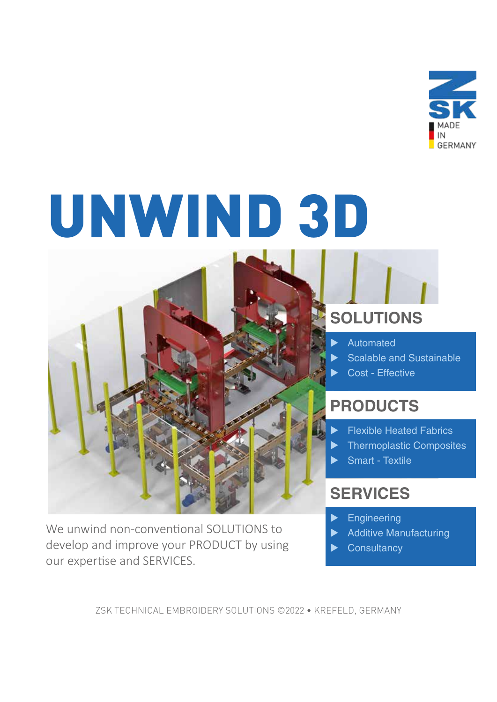

# UNWIND 3D



We unwind non-conventional SOLUTIONS to develop and improve your PRODUCT by using our expertise and SERVICES.

### **SOLUTIONS**

- **Automated**
- Scalable and Sustainable
- Cost Effective

## **PRODUCTS**

- **Flexible Heated Fabrics**
- **Thermoplastic Composites**
- Smart Textile

#### **SERVICES**

- $\blacktriangleright$  Engineering
- **Additive Manufacturing**
- **Consultancy**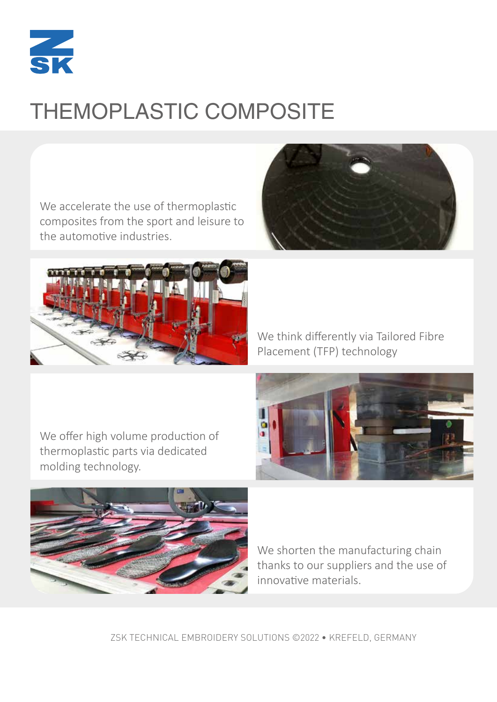

# THEMOPLASTIC COMPOSITE

We accelerate the use of thermoplastic composites from the sport and leisure to the automotive industries.





We think differently via Tailored Fibre Placement (TFP) technology



We offer high volume production of thermoplastic parts via dedicated molding technology.



We shorten the manufacturing chain thanks to our suppliers and the use of innovative materials.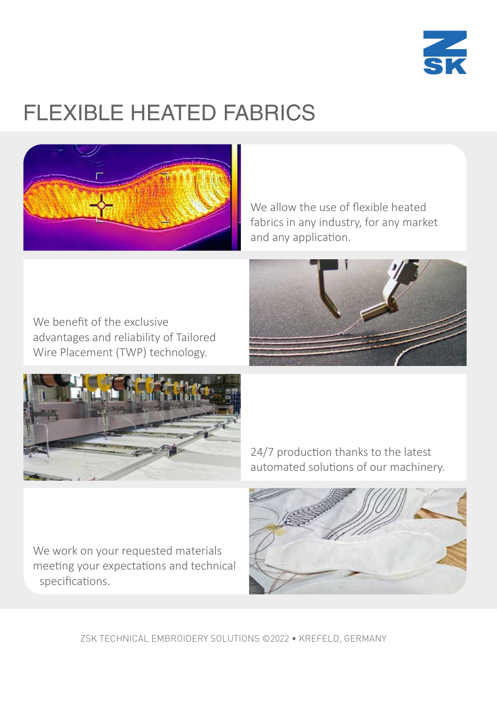

# FLEXIBLE HEATED FABRICS



We allow the use of flexible heated fabrics in any industry, for any market and any application.







24/7 production thanks to the latest automated solutions of our machinery.

We work on your requested materials meeting your expectations and technical specifications.